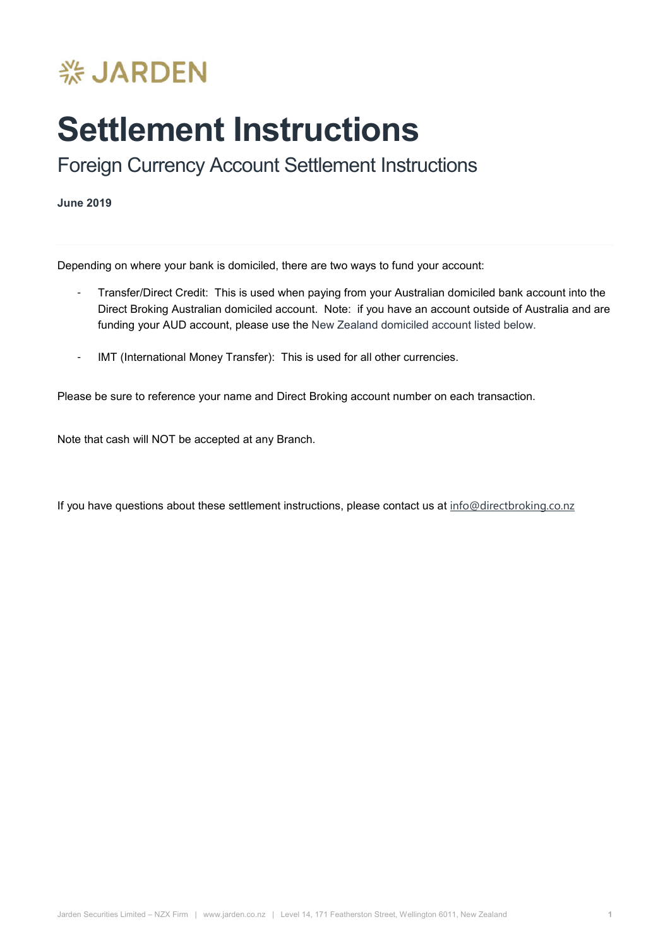

## **Settlement Instructions**

Foreign Currency Account Settlement Instructions

**June 2019**

Depending on where your bank is domiciled, there are two ways to fund your account:

- Transfer/Direct Credit: This is used when paying from your Australian domiciled bank account into the Direct Broking Australian domiciled account. Note: if you have an account outside of Australia and are funding your AUD account, please use the New Zealand domiciled account listed below.
- IMT (International Money Transfer): This is used for all other currencies.

Please be sure to reference your name and Direct Broking account number on each transaction.

Note that cash will NOT be accepted at any Branch.

If you have questions about these settlement instructions, please contact us at info@directbroking.co.nz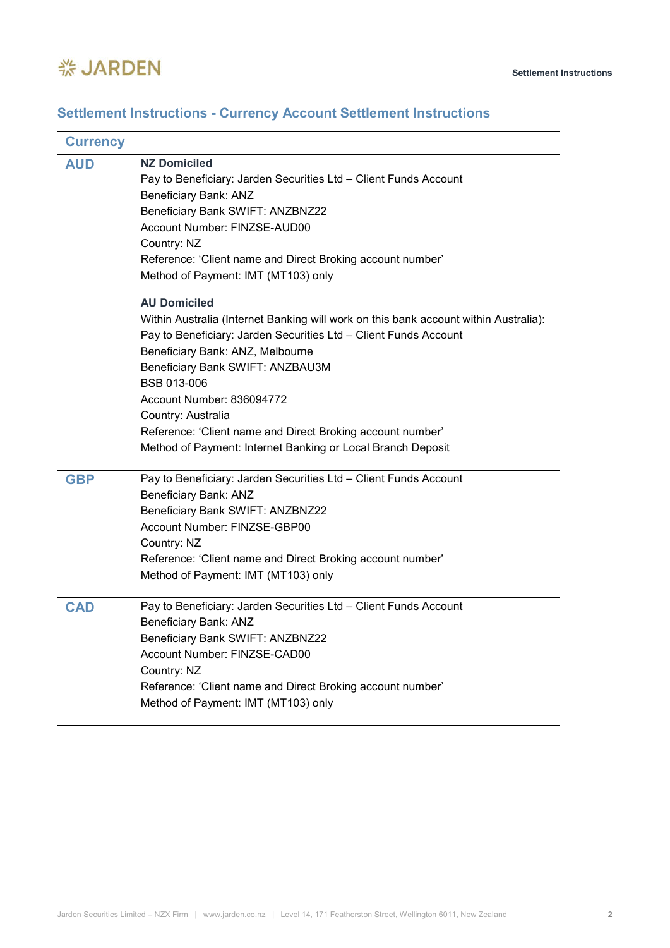

## **Settlement Instructions - Currency Account Settlement Instructions**

| <b>Currency</b> |                                                                                                                                                                                                                                                                                                                                                                                                                                                                                                                                                                                    |
|-----------------|------------------------------------------------------------------------------------------------------------------------------------------------------------------------------------------------------------------------------------------------------------------------------------------------------------------------------------------------------------------------------------------------------------------------------------------------------------------------------------------------------------------------------------------------------------------------------------|
| <b>AUD</b>      | <b>NZ Domiciled</b><br>Pay to Beneficiary: Jarden Securities Ltd - Client Funds Account<br>Beneficiary Bank: ANZ<br>Beneficiary Bank SWIFT: ANZBNZ22<br>Account Number: FINZSE-AUD00<br>Country: NZ<br>Reference: 'Client name and Direct Broking account number'<br>Method of Payment: IMT (MT103) only<br><b>AU Domiciled</b><br>Within Australia (Internet Banking will work on this bank account within Australia):<br>Pay to Beneficiary: Jarden Securities Ltd - Client Funds Account<br>Beneficiary Bank: ANZ, Melbourne<br>Beneficiary Bank SWIFT: ANZBAU3M<br>BSB 013-006 |
|                 | Account Number: 836094772<br>Country: Australia<br>Reference: 'Client name and Direct Broking account number'<br>Method of Payment: Internet Banking or Local Branch Deposit                                                                                                                                                                                                                                                                                                                                                                                                       |
| <b>GBP</b>      | Pay to Beneficiary: Jarden Securities Ltd - Client Funds Account<br>Beneficiary Bank: ANZ<br>Beneficiary Bank SWIFT: ANZBNZ22<br>Account Number: FINZSE-GBP00<br>Country: NZ<br>Reference: 'Client name and Direct Broking account number'<br>Method of Payment: IMT (MT103) only                                                                                                                                                                                                                                                                                                  |
| <b>CAD</b>      | Pay to Beneficiary: Jarden Securities Ltd - Client Funds Account<br>Beneficiary Bank: ANZ<br>Beneficiary Bank SWIFT: ANZBNZ22<br>Account Number: FINZSE-CAD00<br>Country: NZ<br>Reference: 'Client name and Direct Broking account number'<br>Method of Payment: IMT (MT103) only                                                                                                                                                                                                                                                                                                  |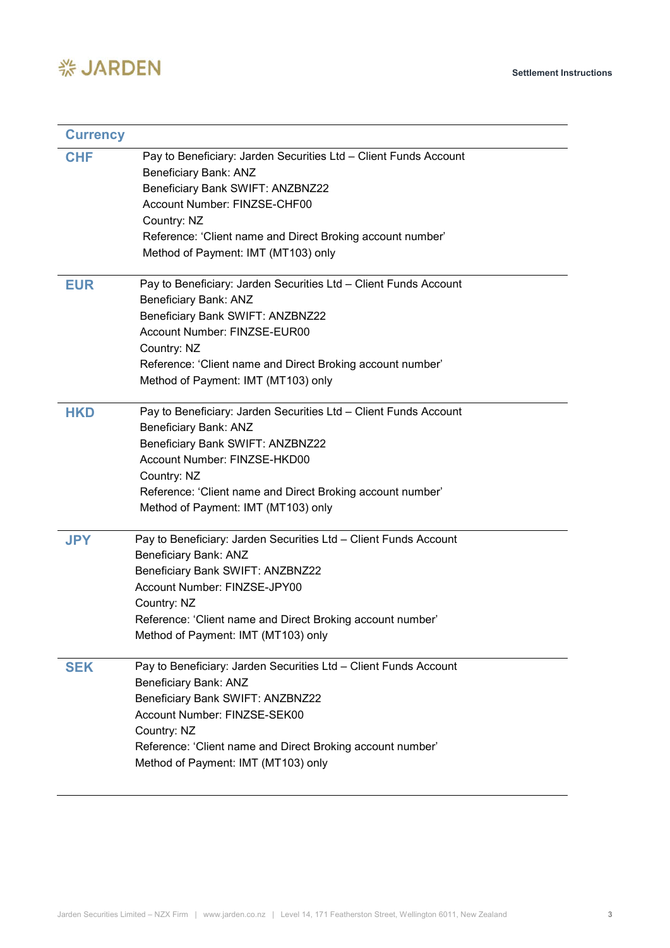

| <b>Currency</b> |                                                                                                                                                                                                                                                                                   |
|-----------------|-----------------------------------------------------------------------------------------------------------------------------------------------------------------------------------------------------------------------------------------------------------------------------------|
| <b>CHF</b>      | Pay to Beneficiary: Jarden Securities Ltd - Client Funds Account<br>Beneficiary Bank: ANZ<br>Beneficiary Bank SWIFT: ANZBNZ22<br>Account Number: FINZSE-CHF00<br>Country: NZ<br>Reference: 'Client name and Direct Broking account number'<br>Method of Payment: IMT (MT103) only |
| <b>EUR</b>      | Pay to Beneficiary: Jarden Securities Ltd - Client Funds Account<br>Beneficiary Bank: ANZ<br>Beneficiary Bank SWIFT: ANZBNZ22<br>Account Number: FINZSE-EUR00<br>Country: NZ<br>Reference: 'Client name and Direct Broking account number'<br>Method of Payment: IMT (MT103) only |
| <b>HKD</b>      | Pay to Beneficiary: Jarden Securities Ltd - Client Funds Account<br>Beneficiary Bank: ANZ<br>Beneficiary Bank SWIFT: ANZBNZ22<br>Account Number: FINZSE-HKD00<br>Country: NZ<br>Reference: 'Client name and Direct Broking account number'<br>Method of Payment: IMT (MT103) only |
| <b>JPY</b>      | Pay to Beneficiary: Jarden Securities Ltd - Client Funds Account<br>Beneficiary Bank: ANZ<br>Beneficiary Bank SWIFT: ANZBNZ22<br>Account Number: FINZSE-JPY00<br>Country: NZ<br>Reference: 'Client name and Direct Broking account number'<br>Method of Payment: IMT (MT103) only |
| <b>SEK</b>      | Pay to Beneficiary: Jarden Securities Ltd - Client Funds Account<br>Beneficiary Bank: ANZ<br>Beneficiary Bank SWIFT: ANZBNZ22<br>Account Number: FINZSE-SEK00<br>Country: NZ<br>Reference: 'Client name and Direct Broking account number'<br>Method of Payment: IMT (MT103) only |